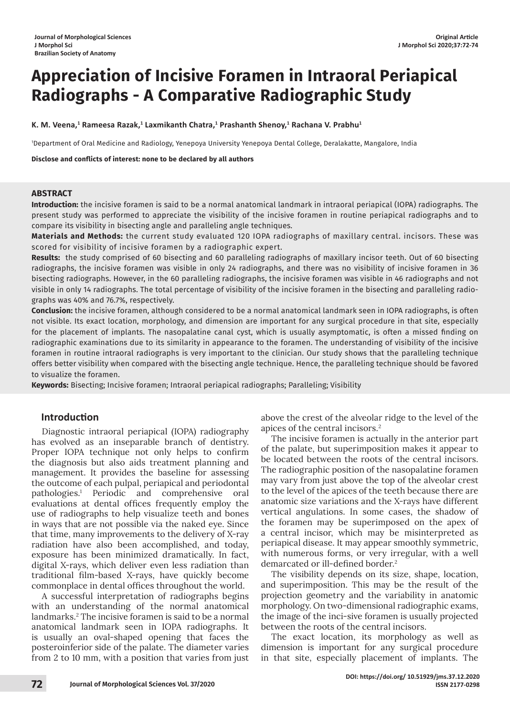# **Appreciation of Incisive Foramen in Intraoral Periapical Radiographs - A Comparative Radiographic Study**

K. M. Veena, $^1$  Rameesa Razak, $^1$  Laxmikanth Chatra, $^1$  Prashanth Shenoy, $^1$  Rachana V. Prabhu $^1$ 

1 Department of Oral Medicine and Radiology, Yenepoya University Yenepoya Dental College, Deralakatte, Mangalore, India

**Disclose and conflicts of interest: none to be declared by all authors**

## **ABSTRACT**

**Introduction:** the incisive foramen is said to be a normal anatomical landmark in intraoral periapical (IOPA) radiographs. The present study was performed to appreciate the visibility of the incisive foramen in routine periapical radiographs and to compare its visibility in bisecting angle and paralleling angle techniques.

**Materials and Methods:** the current study evaluated 120 IOPA radiographs of maxillary central. incisors. These was scored for visibility of incisive foramen by a radiographic expert.

**Results:** the study comprised of 60 bisecting and 60 paralleling radiographs of maxillary incisor teeth. Out of 60 bisecting radiographs, the incisive foramen was visible in only 24 radiographs, and there was no visibility of incisive foramen in 36 bisecting radiographs. However, in the 60 paralleling radiographs, the incisive foramen was visible in 46 radiographs and not visible in only 14 radiographs. The total percentage of visibility of the incisive foramen in the bisecting and paralleling radiographs was 40% and 76.7%, respectively.

**Conclusion:** the incisive foramen, although considered to be a normal anatomical landmark seen in IOPA radiographs, is often not visible. Its exact location, morphology, and dimension are important for any surgical procedure in that site, especially for the placement of implants. The nasopalatine canal cyst, which is usually asymptomatic, is often a missed finding on radiographic examinations due to its similarity in appearance to the foramen. The understanding of visibility of the incisive foramen in routine intraoral radiographs is very important to the clinician. Our study shows that the paralleling technique offers better visibility when compared with the bisecting angle technique. Hence, the paralleling technique should be favored to visualize the foramen.

**Keywords:** Bisecting; Incisive foramen; Intraoral periapical radiographs; Paralleling; Visibility

# **Introduction**

Diagnostic intraoral periapical (IOPA) radiography has evolved as an inseparable branch of dentistry. Proper IOPA technique not only helps to confirm the diagnosis but also aids treatment planning and management. It provides the baseline for assessing the outcome of each pulpal, periapical and periodontal pathologies.1 Periodic and comprehensive oral evaluations at dental offices frequently employ the use of radiographs to help visualize teeth and bones in ways that are not possible via the naked eye. Since that time, many improvements to the delivery of X-ray radiation have also been accomplished, and today, exposure has been minimized dramatically. In fact, digital X-rays, which deliver even less radiation than traditional film-based X-rays, have quickly become commonplace in dental offices throughout the world.

A successful interpretation of radiographs begins with an understanding of the normal anatomical landmarks.<sup>2</sup> The incisive foramen is said to be a normal anatomical landmark seen in IOPA radiographs. It is usually an oval-shaped opening that faces the posteroinferior side of the palate. The diameter varies from 2 to 10 mm, with a position that varies from just

above the crest of the alveolar ridge to the level of the apices of the central incisors.2

The incisive foramen is actually in the anterior part of the palate, but superimposition makes it appear to be located between the roots of the central incisors. The radiographic position of the nasopalatine foramen may vary from just above the top of the alveolar crest to the level of the apices of the teeth because there are anatomic size variations and the X-rays have different vertical angulations. In some cases, the shadow of the foramen may be superimposed on the apex of a central incisor, which may be misinterpreted as periapical disease. It may appear smoothly symmetric, with numerous forms, or very irregular, with a well demarcated or ill-defined border.<sup>2</sup>

The visibility depends on its size, shape, location, and superimposition. This may be the result of the projection geometry and the variability in anatomic morphology. On two-dimensional radiographic exams, the image of the inci-sive foramen is usually projected between the roots of the central incisors.

The exact location, its morphology as well as dimension is important for any surgical procedure in that site, especially placement of implants. The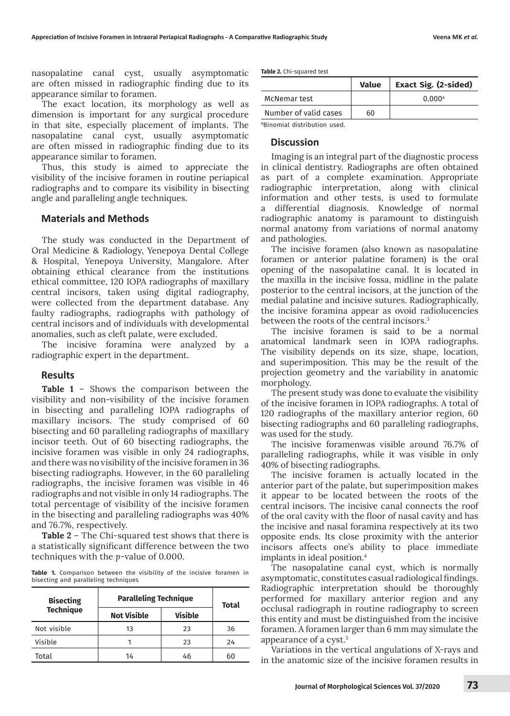nasopalatine canal cyst, usually asymptomatic are often missed in radiographic finding due to its appearance similar to foramen.

The exact location, its morphology as well as dimension is important for any surgical procedure in that site, especially placement of implants. The nasopalatine canal cyst, usually asymptomatic are often missed in radiographic finding due to its appearance similar to foramen.

Thus, this study is aimed to appreciate the visibility of the incisive foramen in routine periapical radiographs and to compare its visibility in bisecting angle and paralleling angle techniques.

## **Materials and Methods**

The study was conducted in the Department of Oral Medicine & Radiology, Yenepoya Dental College & Hospital, Yenepoya University, Mangalore. After obtaining ethical clearance from the institutions ethical committee, 120 IOPA radiographs of maxillary central incisors, taken using digital radiography, were collected from the department database. Any faulty radiographs, radiographs with pathology of central incisors and of individuals with developmental anomalies, such as cleft palate, were excluded.

The incisive foramina were analyzed by a radiographic expert in the department.

#### **Results**

**Table 1** – Shows the comparison between the visibility and non-visibility of the incisive foramen in bisecting and paralleling IOPA radiographs of maxillary incisors. The study comprised of 60 bisecting and 60 paralleling radiographs of maxillary incisor teeth. Out of 60 bisecting radiographs, the incisive foramen was visible in only 24 radiographs, and there was no visibility of the incisive foramen in 36 bisecting radiographs. However, in the 60 paralleling radiographs, the incisive foramen was visible in 46 radiographs and not visible in only 14 radiographs. The total percentage of visibility of the incisive foramen in the bisecting and paralleling radiographs was 40% and 76.7%, respectively.

**Table 2** – The Chi-squared test shows that there is a statistically significant difference between the two techniques with the *p*-value of 0.000.

**Table 1.** Comparison between the visibility of the incisive foramen in bisecting and paralleling techniques

| <b>Bisecting</b><br><b>Technique</b> | <b>Paralleling Technique</b> |                | Total |
|--------------------------------------|------------------------------|----------------|-------|
|                                      | <b>Not Visible</b>           | <b>Visible</b> |       |
| Not visible                          | 13                           | 23             | 36    |
| Visible                              |                              | 23             | 24    |
| Total                                | 14                           | 46             | 60    |

**Table 2.** Chi-squared test

|                       | <b>Value</b> | <b>Exact Sig. (2-sided)</b> |
|-----------------------|--------------|-----------------------------|
| McNemar test          |              | $0.000$ <sup>a</sup>        |
| Number of valid cases | 60           |                             |
|                       |              |                             |

a Binomial distribution used.

#### **Discussion**

Imaging is an integral part of the diagnostic process in clinical dentistry. Radiographs are often obtained as part of a complete examination. Appropriate radiographic interpretation, along with clinical information and other tests, is used to formulate a differential diagnosis. Knowledge of normal radiographic anatomy is paramount to distinguish normal anatomy from variations of normal anatomy and pathologies.

The incisive foramen (also known as nasopalatine foramen or anterior palatine foramen) is the oral opening of the nasopalatine canal. It is located in the maxilla in the incisive fossa, midline in the palate posterior to the central incisors, at the junction of the medial palatine and incisive sutures. Radiographically, the incisive foramina appear as ovoid radiolucencies between the roots of the central incisors.<sup>3</sup>

The incisive foramen is said to be a normal anatomical landmark seen in IOPA radiographs. The visibility depends on its size, shape, location, and superimposition. This may be the result of the projection geometry and the variability in anatomic morphology.

The present study was done to evaluate the visibility of the incisive foramen in IOPA radiographs. A total of 120 radiographs of the maxillary anterior region, 60 bisecting radiographs and 60 paralleling radiographs, was used for the study.

The incisive foramenwas visible around 76.7% of paralleling radiographs, while it was visible in only 40% of bisecting radiographs.

The incisive foramen is actually located in the anterior part of the palate, but superimposition makes it appear to be located between the roots of the central incisors. The incisive canal connects the roof of the oral cavity with the floor of nasal cavity and has the incisive and nasal foramina respectively at its two opposite ends. Its close proximity with the anterior incisors affects one's ability to place immediate implants in ideal position.4

The nasopalatine canal cyst, which is normally asymptomatic, constitutes casual radiological findings. Radiographic interpretation should be thoroughly performed for maxillary anterior region and any occlusal radiograph in routine radiography to screen this entity and must be distinguished from the incisive foramen. A foramen larger than 6 mm may simulate the appearance of a cyst.5

Variations in the vertical angulations of X-rays and in the anatomic size of the incisive foramen results in